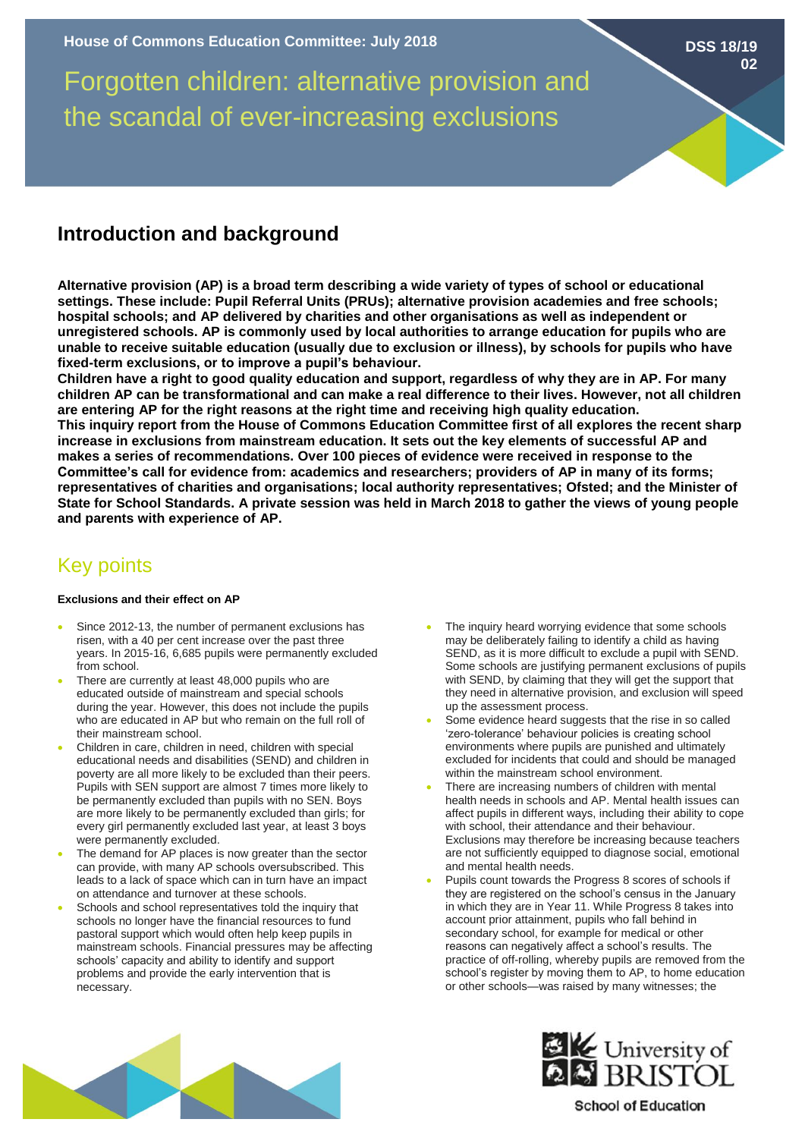Forgotten children: alternative provision and the scandal of ever-increasing exclusions

# **Introduction and background**

**Alternative provision (AP) is a broad term describing a wide variety of types of school or educational settings. These include: Pupil Referral Units (PRUs); alternative provision academies and free schools; hospital schools; and AP delivered by charities and other organisations as well as independent or unregistered schools. AP is commonly used by local authorities to arrange education for pupils who are unable to receive suitable education (usually due to exclusion or illness), by schools for pupils who have fixed-term exclusions, or to improve a pupil's behaviour.**

**Children have a right to good quality education and support, regardless of why they are in AP. For many children AP can be transformational and can make a real difference to their lives. However, not all children are entering AP for the right reasons at the right time and receiving high quality education. This inquiry report from the House of Commons Education Committee first of all explores the recent sharp increase in exclusions from mainstream education. It sets out the key elements of successful AP and makes a series of recommendations. Over 100 pieces of evidence were received in response to the Committee's call for evidence from: academics and researchers; providers of AP in many of its forms; representatives of charities and organisations; local authority representatives; Ofsted; and the Minister of State for School Standards. A private session was held in March 2018 to gather the views of young people and parents with experience of AP.** 

## Key points

#### **Exclusions and their effect on AP**

- Since 2012-13, the number of permanent exclusions has risen, with a 40 per cent increase over the past three years. In 2015-16, 6,685 pupils were permanently excluded from school.
- There are currently at least 48,000 pupils who are educated outside of mainstream and special schools during the year. However, this does not include the pupils who are educated in AP but who remain on the full roll of their mainstream school.
- Children in care, children in need, children with special educational needs and disabilities (SEND) and children in poverty are all more likely to be excluded than their peers. Pupils with SEN support are almost 7 times more likely to be permanently excluded than pupils with no SEN. Boys are more likely to be permanently excluded than girls; for every girl permanently excluded last year, at least 3 boys were permanently excluded.
- The demand for AP places is now greater than the sector can provide, with many AP schools oversubscribed. This leads to a lack of space which can in turn have an impact on attendance and turnover at these schools.
- Schools and school representatives told the inquiry that schools no longer have the financial resources to fund pastoral support which would often help keep pupils in mainstream schools. Financial pressures may be affecting schools' capacity and ability to identify and support problems and provide the early intervention that is necessary.

The inquiry heard worrying evidence that some schools may be deliberately failing to identify a child as having SEND, as it is more difficult to exclude a pupil with SEND. Some schools are justifying permanent exclusions of pupils with SEND, by claiming that they will get the support that they need in alternative provision, and exclusion will speed up the assessment process.

**DSS 18/19**

**02**

- Some evidence heard suggests that the rise in so called 'zero-tolerance' behaviour policies is creating school environments where pupils are punished and ultimately excluded for incidents that could and should be managed within the mainstream school environment.
- There are increasing numbers of children with mental health needs in schools and AP. Mental health issues can affect pupils in different ways, including their ability to cope with school, their attendance and their behaviour. Exclusions may therefore be increasing because teachers are not sufficiently equipped to diagnose social, emotional and mental health needs.
- Pupils count towards the Progress 8 scores of schools if they are registered on the school's census in the January in which they are in Year 11. While Progress 8 takes into account prior attainment, pupils who fall behind in secondary school, for example for medical or other reasons can negatively affect a school's results. The practice of off-rolling, whereby pupils are removed from the school's register by moving them to AP, to home education or other schools—was raised by many witnesses; the





### **School of Education**